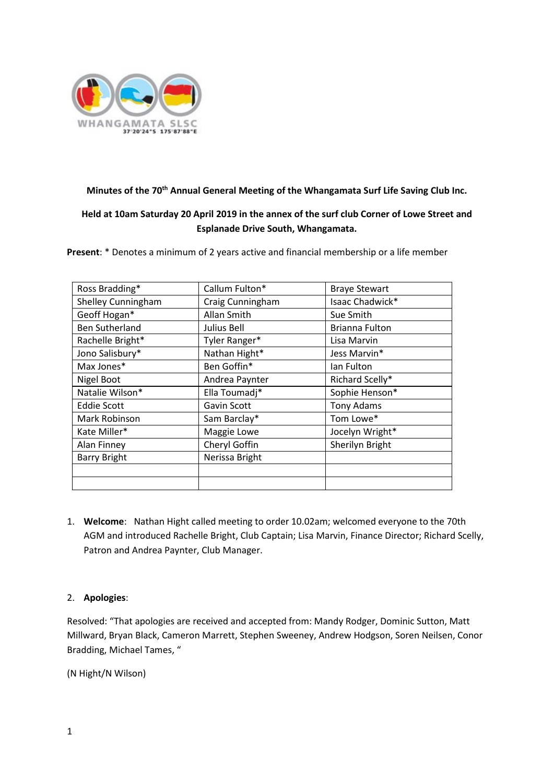

## **Minutes of the 70th Annual General Meeting of the Whangamata Surf Life Saving Club Inc.**

# **Held at 10am Saturday 20 April 2019 in the annex of the surf club Corner of Lowe Street and Esplanade Drive South, Whangamata.**

**Present**: \* Denotes a minimum of 2 years active and financial membership or a life member

| Ross Bradding*            | Callum Fulton*   | <b>Braye Stewart</b> |
|---------------------------|------------------|----------------------|
| <b>Shelley Cunningham</b> | Craig Cunningham | Isaac Chadwick*      |
| Geoff Hogan*              | Allan Smith      | Sue Smith            |
| <b>Ben Sutherland</b>     | Julius Bell      | Brianna Fulton       |
| Rachelle Bright*          | Tyler Ranger*    | Lisa Marvin          |
| Jono Salisbury*           | Nathan Hight*    | Jess Marvin*         |
| Max Jones*                | Ben Goffin*      | Ian Fulton           |
| Nigel Boot                | Andrea Paynter   | Richard Scelly*      |
| Natalie Wilson*           | Ella Toumadj*    | Sophie Henson*       |
| <b>Eddie Scott</b>        | Gavin Scott      | <b>Tony Adams</b>    |
| Mark Robinson             | Sam Barclay*     | Tom Lowe*            |
| Kate Miller*              | Maggie Lowe      | Jocelyn Wright*      |
| Alan Finney               | Cheryl Goffin    | Sherilyn Bright      |
| <b>Barry Bright</b>       | Nerissa Bright   |                      |
|                           |                  |                      |
|                           |                  |                      |

1. **Welcome**: Nathan Hight called meeting to order 10.02am; welcomed everyone to the 70th AGM and introduced Rachelle Bright, Club Captain; Lisa Marvin, Finance Director; Richard Scelly, Patron and Andrea Paynter, Club Manager.

## 2. **Apologies**:

Resolved: "That apologies are received and accepted from: Mandy Rodger, Dominic Sutton, Matt Millward, Bryan Black, Cameron Marrett, Stephen Sweeney, Andrew Hodgson, Soren Neilsen, Conor Bradding, Michael Tames, "

(N Hight/N Wilson)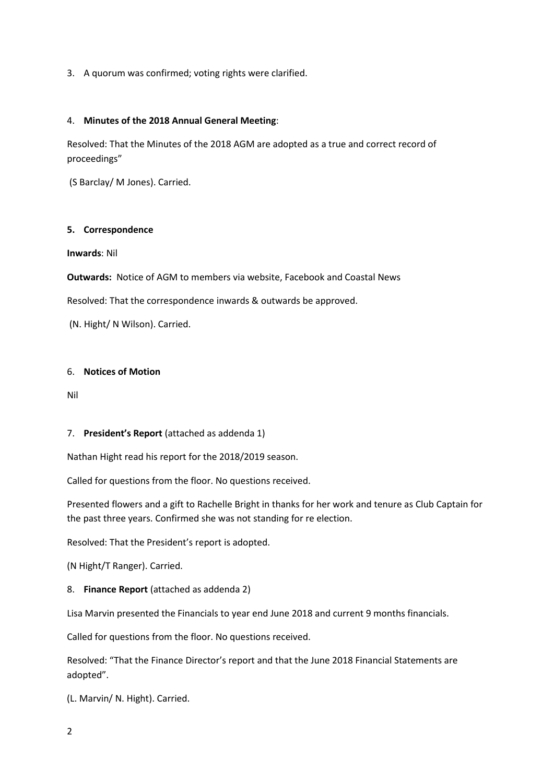3. A quorum was confirmed; voting rights were clarified.

### 4. **Minutes of the 2018 Annual General Meeting**:

Resolved: That the Minutes of the 2018 AGM are adopted as a true and correct record of proceedings"

(S Barclay/ M Jones). Carried.

### **5. Correspondence**

**Inwards**: Nil

**Outwards:** Notice of AGM to members via website, Facebook and Coastal News

Resolved: That the correspondence inwards & outwards be approved.

(N. Hight/ N Wilson). Carried.

### 6. **Notices of Motion**

Nil

### 7. **President's Report** (attached as addenda 1)

Nathan Hight read his report for the 2018/2019 season.

Called for questions from the floor. No questions received.

Presented flowers and a gift to Rachelle Bright in thanks for her work and tenure as Club Captain for the past three years. Confirmed she was not standing for re election.

Resolved: That the President's report is adopted.

(N Hight/T Ranger). Carried.

8. **Finance Report** (attached as addenda 2)

Lisa Marvin presented the Financials to year end June 2018 and current 9 months financials.

Called for questions from the floor. No questions received.

Resolved: "That the Finance Director's report and that the June 2018 Financial Statements are adopted".

(L. Marvin/ N. Hight). Carried.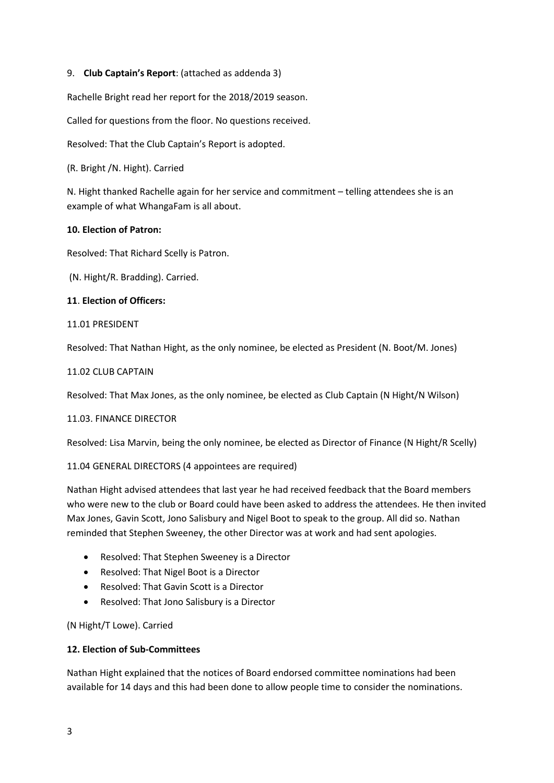### 9. **Club Captain's Report**: (attached as addenda 3)

Rachelle Bright read her report for the 2018/2019 season.

Called for questions from the floor. No questions received.

Resolved: That the Club Captain's Report is adopted.

(R. Bright /N. Hight). Carried

N. Hight thanked Rachelle again for her service and commitment – telling attendees she is an example of what WhangaFam is all about.

### **10. Election of Patron:**

Resolved: That Richard Scelly is Patron.

(N. Hight/R. Bradding). Carried.

### **11**. **Election of Officers:**

### 11.01 PRESIDENT

Resolved: That Nathan Hight, as the only nominee, be elected as President (N. Boot/M. Jones)

### 11.02 CLUB CAPTAIN

Resolved: That Max Jones, as the only nominee, be elected as Club Captain (N Hight/N Wilson)

### 11.03. FINANCE DIRECTOR

Resolved: Lisa Marvin, being the only nominee, be elected as Director of Finance (N Hight/R Scelly)

### 11.04 GENERAL DIRECTORS (4 appointees are required)

Nathan Hight advised attendees that last year he had received feedback that the Board members who were new to the club or Board could have been asked to address the attendees. He then invited Max Jones, Gavin Scott, Jono Salisbury and Nigel Boot to speak to the group. All did so. Nathan reminded that Stephen Sweeney, the other Director was at work and had sent apologies.

- Resolved: That Stephen Sweeney is a Director
- Resolved: That Nigel Boot is a Director
- Resolved: That Gavin Scott is a Director
- Resolved: That Jono Salisbury is a Director

(N Hight/T Lowe). Carried

### **12. Election of Sub-Committees**

Nathan Hight explained that the notices of Board endorsed committee nominations had been available for 14 days and this had been done to allow people time to consider the nominations.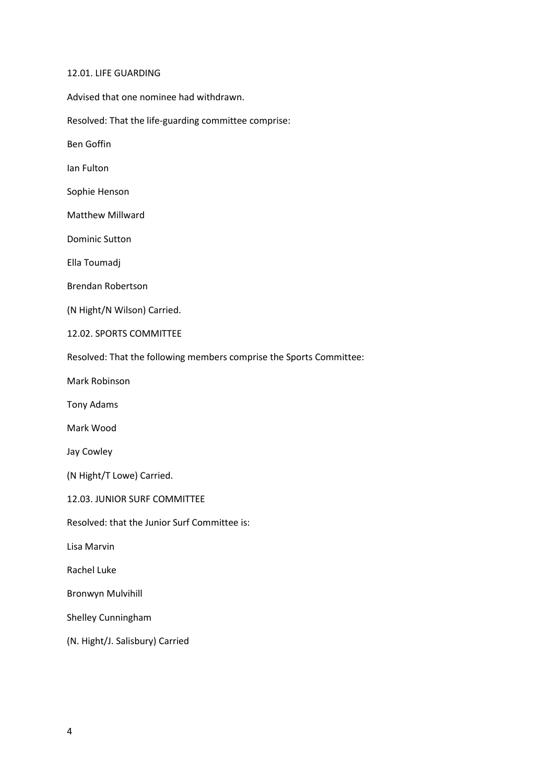#### 12.01. LIFE GUARDING

Advised that one nominee had withdrawn.

Resolved: That the life-guarding committee comprise:

Ben Goffin

Ian Fulton

Sophie Henson

Matthew Millward

Dominic Sutton

Ella Toumadj

Brendan Robertson

(N Hight/N Wilson) Carried.

12.02. SPORTS COMMITTEE

Resolved: That the following members comprise the Sports Committee:

Mark Robinson

Tony Adams

Mark Wood

Jay Cowley

(N Hight/T Lowe) Carried.

12.03. JUNIOR SURF COMMITTEE

Resolved: that the Junior Surf Committee is:

Lisa Marvin

Rachel Luke

Bronwyn Mulvihill

Shelley Cunningham

(N. Hight/J. Salisbury) Carried